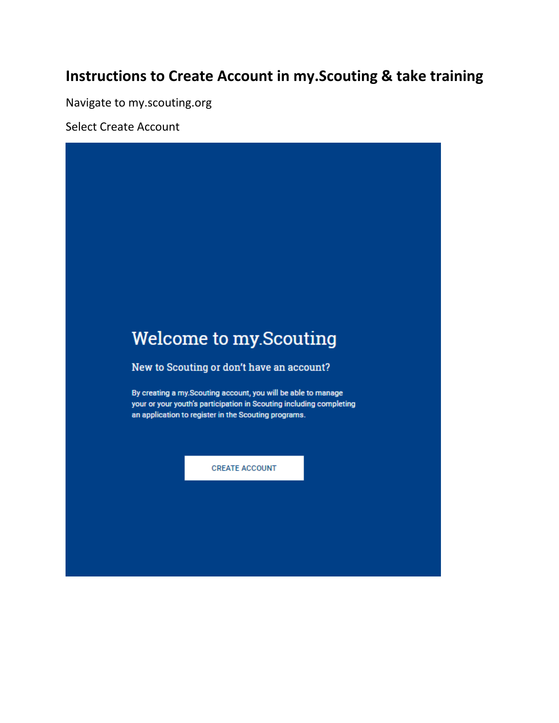## **Instructions to Create Account in my.Scouting & take training**

Navigate to my.scouting.org

Select Create Account

# Welcome to my.Scouting New to Scouting or don't have an account? By creating a my.Scouting account, you will be able to manage your or your youth's participation in Scouting including completing an application to register in the Scouting programs. **CREATE ACCOUNT**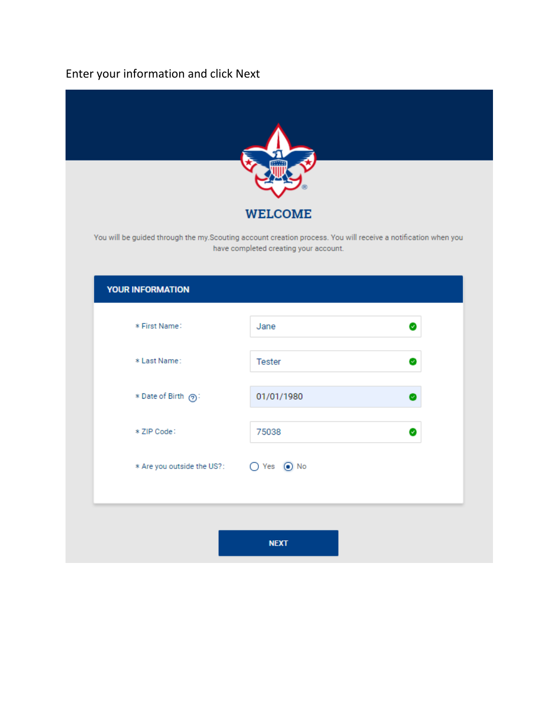## Enter your information and click Next

|                                          | <b>WELCOME</b>                                                                                                                                          |  |  |  |  |
|------------------------------------------|---------------------------------------------------------------------------------------------------------------------------------------------------------|--|--|--|--|
|                                          | You will be guided through the my. Scouting account creation process. You will receive a notification when you<br>have completed creating your account. |  |  |  |  |
| <b>YOUR INFORMATION</b>                  |                                                                                                                                                         |  |  |  |  |
| * First Name:                            | Jane<br>Ø                                                                                                                                               |  |  |  |  |
| * Last Name:                             | Tester<br>o.                                                                                                                                            |  |  |  |  |
| * Date of Birth ?:                       | 01/01/1980<br>Ø                                                                                                                                         |  |  |  |  |
| * ZIP Code:                              | 75038<br>Ø                                                                                                                                              |  |  |  |  |
| ○ Yes ● No<br>* Are you outside the US?: |                                                                                                                                                         |  |  |  |  |
|                                          |                                                                                                                                                         |  |  |  |  |
|                                          | <b>NEXT</b>                                                                                                                                             |  |  |  |  |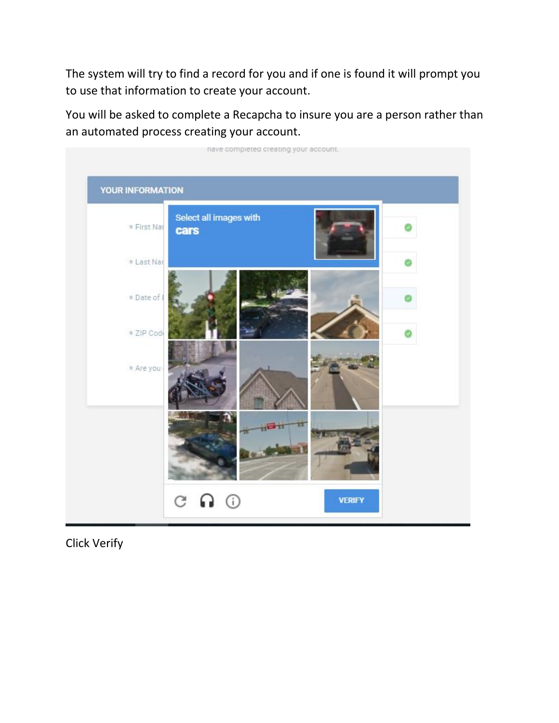The system will try to find a record for you and if one is found it will prompt you to use that information to create your account.

You will be asked to complete a Recapcha to insure you are a person rather than an automated process creating your account.



Click Verify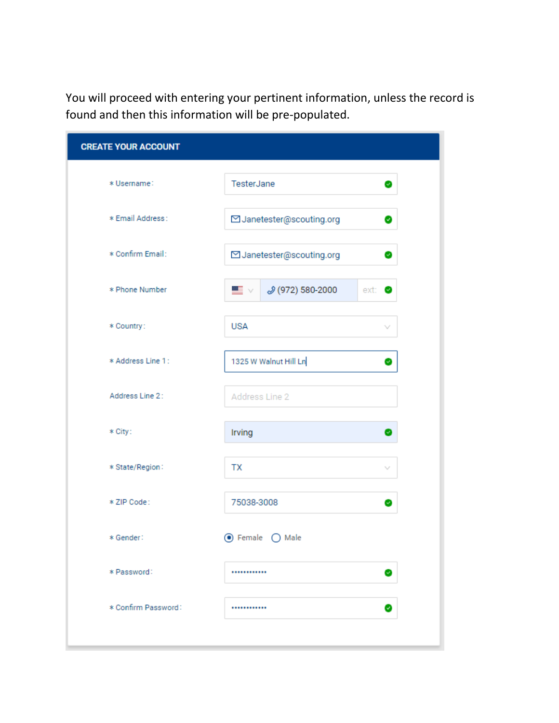You will proceed with entering your pertinent information, unless the record is found and then this information will be pre-populated.

| <b>CREATE YOUR ACCOUNT</b>   |                                  |  |  |  |  |  |
|------------------------------|----------------------------------|--|--|--|--|--|
| * Username:                  | TesterJane<br>€                  |  |  |  |  |  |
| * Email Address:             | ⊡ Janetester@scouting.org<br>€   |  |  |  |  |  |
| * Confirm Email:             | ⊡ Janetester@scouting.org<br>●   |  |  |  |  |  |
| * Phone Number               | J (972) 580-2000<br>▀▁<br>ext: O |  |  |  |  |  |
| * Country:                   | <b>USA</b><br>v                  |  |  |  |  |  |
| * Address Line 1:            | 1325 W Walnut Hill Ln<br>€       |  |  |  |  |  |
| Address Line 2:              | Address Line 2                   |  |  |  |  |  |
| * City:                      | Irving<br>◎                      |  |  |  |  |  |
| * State/Region:              | TX<br>$\sim$                     |  |  |  |  |  |
| * ZIP Code:                  | 75038-3008<br>Ø                  |  |  |  |  |  |
| ⊙ Female ( Male<br>* Gender: |                                  |  |  |  |  |  |
| * Password:                  | <br>$\bullet$                    |  |  |  |  |  |
| * Confirm Password:          | <br>Ø                            |  |  |  |  |  |
|                              |                                  |  |  |  |  |  |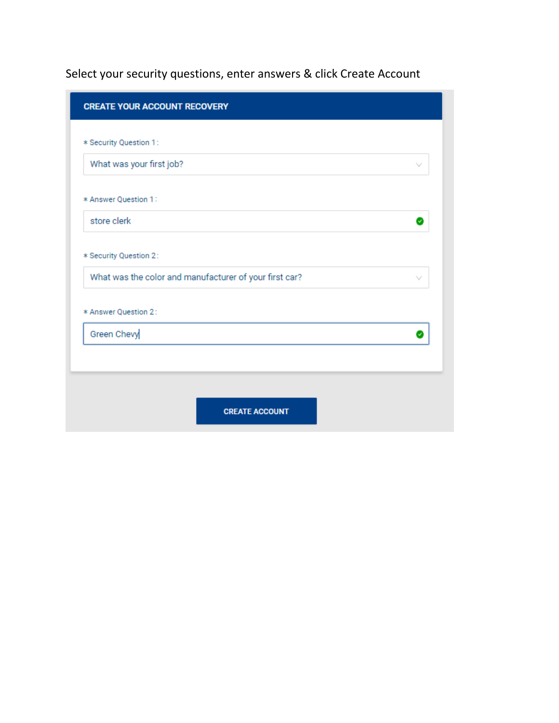Select your security questions, enter answers & click Create Account

| <b>CREATE YOUR ACCOUNT RECOVERY</b>                                    |
|------------------------------------------------------------------------|
| * Security Question 1:                                                 |
| What was your first job?                                               |
| * Answer Question 1:                                                   |
| store clerk<br>u                                                       |
| * Security Question 2:                                                 |
| What was the color and manufacturer of your first car?<br>$\checkmark$ |
| * Answer Question 2:                                                   |
| Green Chevy<br>Ø                                                       |
|                                                                        |
|                                                                        |
| <b>CREATE ACCOUNT</b>                                                  |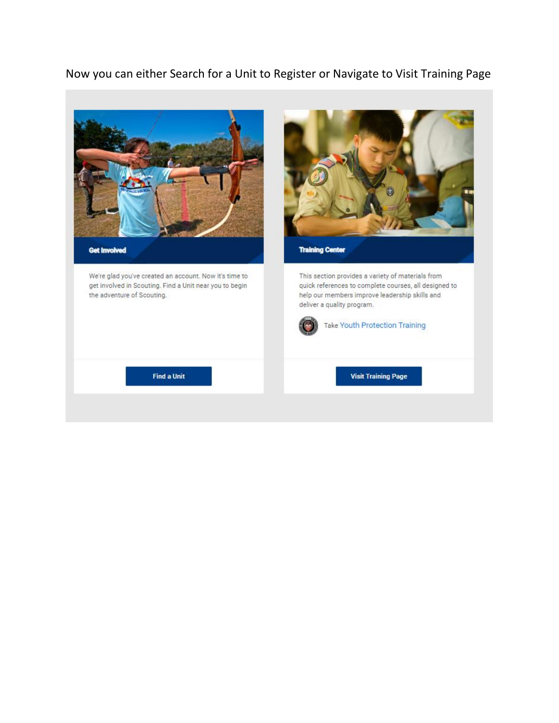### Now you can either Search for a Unit to Register or Navigate to Visit Training Page

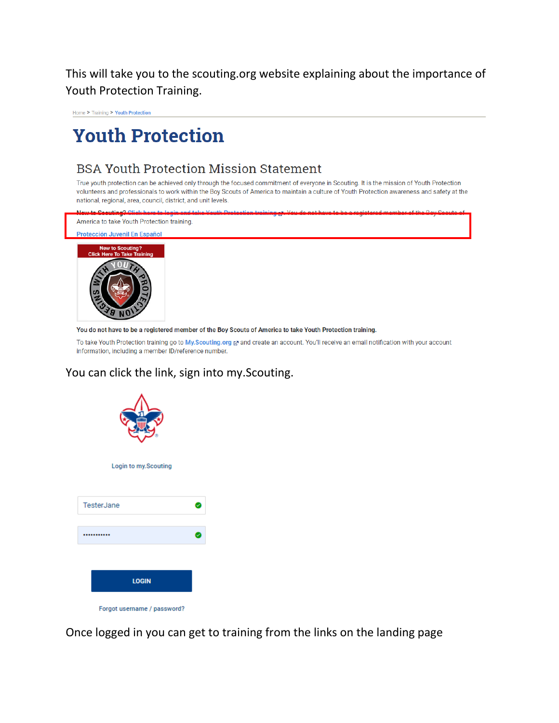This will take you to the scouting.org website explaining about the importance of Youth Protection Training.

Home > Training > Youth Protection

## **Youth Protection**

## **BSA Youth Protection Mission Statement**

True youth protection can be achieved only through the focused commitment of everyone in Scouting. It is the mission of Youth Protection volunteers and professionals to work within the Boy Scouts of America to maintain a culture of Youth Protection awareness and safety at the national, regional, area, council, district, and unit levels.



You do not have to be a registered member of the Boy Scouts of America to take Youth Protection training.

To take Youth Protection training go to My.Scouting.org & and create an account. You'll receive an email notification with your account information, including a member ID/reference number.

#### You can click the link, sign into my.Scouting.



Once logged in you can get to training from the links on the landing page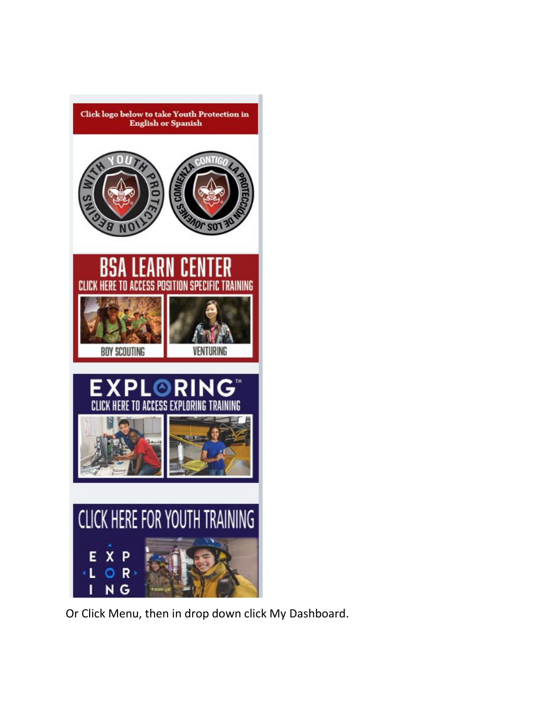

Or Click Menu, then in drop down click My Dashboard.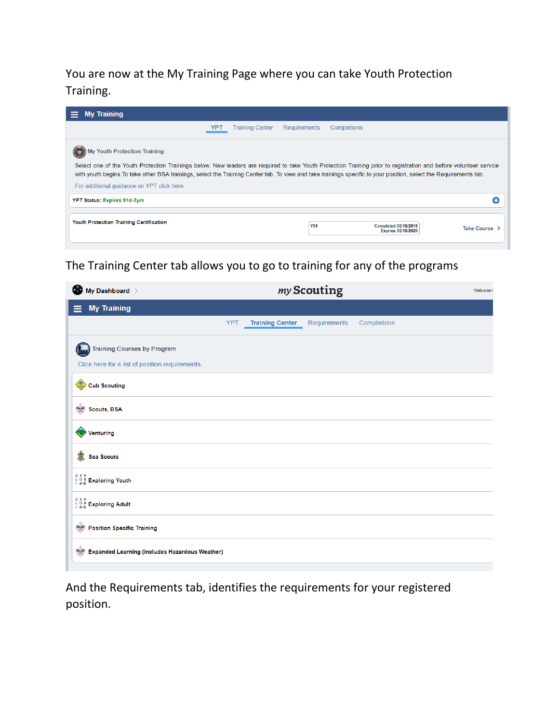You are now at the My Training Page where you can take Youth Protection Training.

| <b>My Training</b>                                                                                                                                                                                                                                                                                                                                                                                                       |                        |                     |                                                          |               |  |  |  |  |
|--------------------------------------------------------------------------------------------------------------------------------------------------------------------------------------------------------------------------------------------------------------------------------------------------------------------------------------------------------------------------------------------------------------------------|------------------------|---------------------|----------------------------------------------------------|---------------|--|--|--|--|
| YPT                                                                                                                                                                                                                                                                                                                                                                                                                      | <b>Training Center</b> | <b>Requirements</b> | Completions                                              |               |  |  |  |  |
| <b>Youth Protection Training</b><br>Select one of the Youth Protection Trainings below. New leaders are required to take Youth Protection Training prior to registration and before volunteer service<br>with youth begins. To take other BSA trainings, select the Training Center tab. To view and take trainings specific to your position, select the Requirements tab.<br>For additional quidance on YPT click here |                        |                     |                                                          |               |  |  |  |  |
| <b>YPT Status: Expires 91d-2yrs</b>                                                                                                                                                                                                                                                                                                                                                                                      |                        |                     |                                                          | e             |  |  |  |  |
| <b>Youth Protection Training Certification</b>                                                                                                                                                                                                                                                                                                                                                                           |                        | <b>Y01</b>          | <b>Completed 09/18/2018</b><br><b>Expires 09/18/2020</b> | Take Course > |  |  |  |  |

The Training Center tab allows you to go to training for any of the programs

| my Scouting<br>Welcome I |                                                       |              |             |  |  |
|--------------------------|-------------------------------------------------------|--------------|-------------|--|--|
|                          |                                                       |              |             |  |  |
| <b>YPT</b>               | <b>Training Center</b>                                | Requirements | Completions |  |  |
|                          |                                                       |              |             |  |  |
|                          |                                                       |              |             |  |  |
|                          |                                                       |              |             |  |  |
|                          |                                                       |              |             |  |  |
|                          |                                                       |              |             |  |  |
|                          |                                                       |              |             |  |  |
|                          |                                                       |              |             |  |  |
|                          |                                                       |              |             |  |  |
|                          |                                                       |              |             |  |  |
|                          |                                                       |              |             |  |  |
|                          | <b>Expanded Learning (includes Hazardous Weather)</b> |              |             |  |  |

And the Requirements tab, identifies the requirements for your registered position.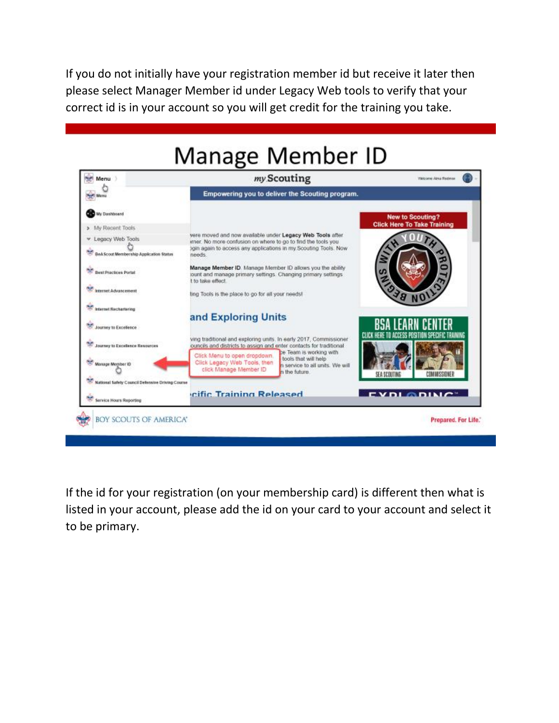If you do not initially have your registration member id but receive it later then please select Manager Member id under Legacy Web tools to verify that your correct id is in your account so you will get credit for the training you take.

## **Manage Member ID**



If the id for your registration (on your membership card) is different then what is listed in your account, please add the id on your card to your account and select it to be primary.